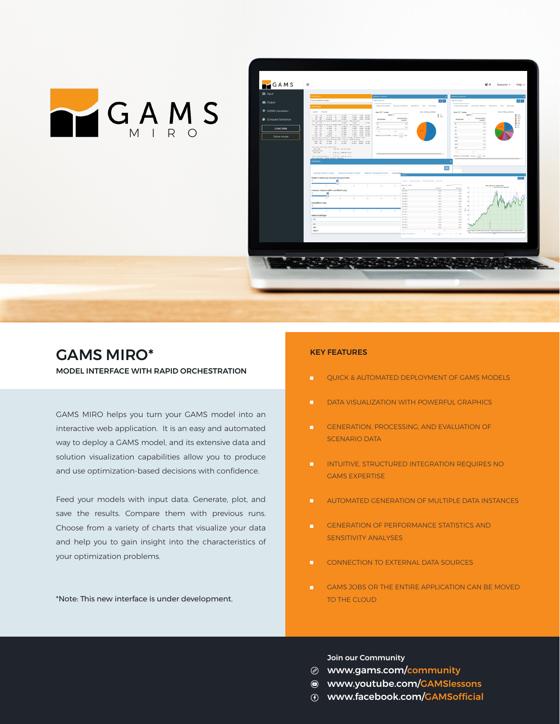



## GAMS MIRO\* MODEL INTERFACE WITH RAPID ORCHESTRATION

GAMS MIRO helps you turn your GAMS model into an interactive web application. It is an easy and automated way to deploy a GAMS model, and its extensive data and solution visualization capabilities allow you to produce and use optimization-based decisions with confidence.

Feed your models with input data. Generate, plot, and save the results. Compare them with previous runs. Choose from a variety of charts that visualize your data and help you to gain insight into the characteristics of your optimization problems.

\*Note: This new interface is under development.

## KEY FEATURES

- QUICK & AUTOMATED DEPLOYMENT OF GAMS MODELS m.
- DATA VISUALIZATION WITH POWERFUL GRAPHICS m.
- GENERATION, PROCESSING, AND EVALUATION OF  $\blacksquare$ SCENARIO DATA
- INTUITIVE, STRUCTURED INTEGRATION REQUIRES NO m. GAMS EXPERTISE
- $\mathbf{u}$ AUTOMATED GENERATION OF MULTIPLE DATA INSTANCES
- GENERATION OF PERFORMANCE STATISTICS AND  $\mathbf{H}^{\mathbf{r}}$ SENSITIVITY ANALYSES
- $\blacksquare$ CONNECTION TO EXTERNAL DATA SOURCES
- GAMS JOBS OR THE ENTIRE APPLICATION CAN BE MOVED m. TO THE CLOUD

Join our Community

- www.gams.com/community
- www.youtube.com/GAMSlessons
- www.facebook.com/GAMSofficial